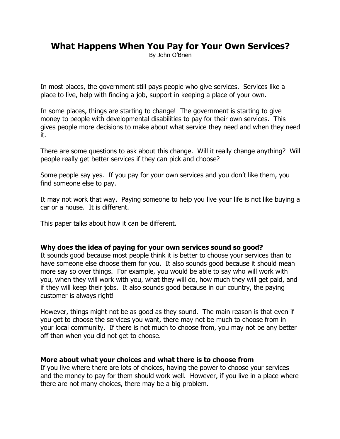# **What Happens When You Pay for Your Own Services?**

By John O'Brien

In most places, the government still pays people who give services. Services like a place to live, help with finding a job, support in keeping a place of your own.

In some places, things are starting to change! The government is starting to give money to people with developmental disabilities to pay for their own services. This gives people more decisions to make about what service they need and when they need it.

There are some questions to ask about this change. Will it really change anything? Will people really get better services if they can pick and choose?

Some people say yes. If you pay for your own services and you don't like them, you find someone else to pay.

It may not work that way. Paying someone to help you live your life is not like buying a car or a house. It is different.

This paper talks about how it can be different.

#### **Why does the idea of paying for your own services sound so good?**

It sounds good because most people think it is better to choose your services than to have someone else choose them for you. It also sounds good because it should mean more say so over things. For example, you would be able to say who will work with you, when they will work with you, what they will do, how much they will get paid, and if they will keep their jobs. It also sounds good because in our country, the paying customer is always right!

However, things might not be as good as they sound. The main reason is that even if you get to choose the services you want, there may not be much to choose from in your local community. If there is not much to choose from, you may not be any better off than when you did not get to choose.

#### **More about what your choices and what there is to choose from**

If you live where there are lots of choices, having the power to choose your services and the money to pay for them should work well. However, if you live in a place where there are not many choices, there may be a big problem.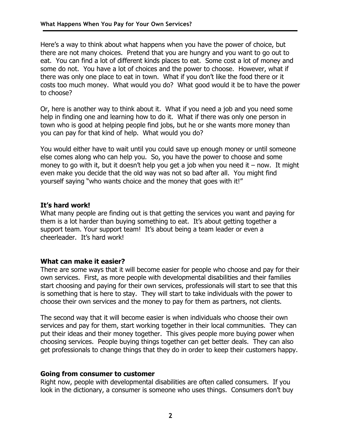Here's a way to think about what happens when you have the power of choice, but there are not many choices. Pretend that you are hungry and you want to go out to eat. You can find a lot of different kinds places to eat. Some cost a lot of money and some do not. You have a lot of choices and the power to choose. However, what if there was only one place to eat in town. What if you don't like the food there or it costs too much money. What would you do? What good would it be to have the power to choose?

Or, here is another way to think about it. What if you need a job and you need some help in finding one and learning how to do it. What if there was only one person in town who is good at helping people find jobs, but he or she wants more money than you can pay for that kind of help. What would you do?

You would either have to wait until you could save up enough money or until someone else comes along who can help you. So, you have the power to choose and some money to go with it, but it doesn't help you get a job when you need it – now. It might even make you decide that the old way was not so bad after all. You might find yourself saying "who wants choice and the money that goes with it!"

## **It's hard work!**

What many people are finding out is that getting the services you want and paying for them is a lot harder than buying something to eat. It's about getting together a support team. Your support team! It's about being a team leader or even a cheerleader. It's hard work!

# **What can make it easier?**

There are some ways that it will become easier for people who choose and pay for their own services. First, as more people with developmental disabilities and their families start choosing and paying for their own services, professionals will start to see that this is something that is here to stay. They will start to take individuals with the power to choose their own services and the money to pay for them as partners, not clients.

The second way that it will become easier is when individuals who choose their own services and pay for them, start working together in their local communities. They can put their ideas and their money together. This gives people more buying power when choosing services. People buying things together can get better deals. They can also get professionals to change things that they do in order to keep their customers happy.

# **Going from consumer to customer**

Right now, people with developmental disabilities are often called consumers. If you look in the dictionary, a consumer is someone who uses things. Consumers don't buy